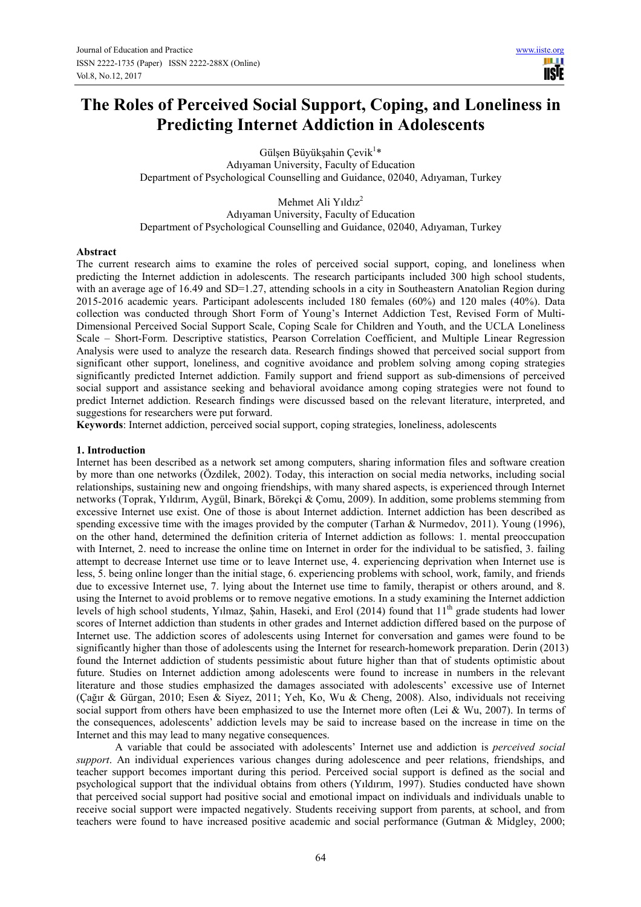**USE** 

# **The Roles of Perceived Social Support, Coping, and Loneliness in Predicting Internet Addiction in Adolescents**

Gülşen Büyükşahin Çevik $^{1*}$ Adıyaman University, Faculty of Education Department of Psychological Counselling and Guidance, 02040, Adıyaman, Turkey

Mehmet Ali Yıldız<sup>2</sup> Adıyaman University, Faculty of Education Department of Psychological Counselling and Guidance, 02040, Adıyaman, Turkey

# **Abstract**

The current research aims to examine the roles of perceived social support, coping, and loneliness when predicting the Internet addiction in adolescents. The research participants included 300 high school students, with an average age of 16.49 and SD=1.27, attending schools in a city in Southeastern Anatolian Region during 2015-2016 academic years. Participant adolescents included 180 females (60%) and 120 males (40%). Data collection was conducted through Short Form of Young's Internet Addiction Test, Revised Form of Multi-Dimensional Perceived Social Support Scale, Coping Scale for Children and Youth, and the UCLA Loneliness Scale – Short-Form. Descriptive statistics, Pearson Correlation Coefficient, and Multiple Linear Regression Analysis were used to analyze the research data. Research findings showed that perceived social support from significant other support, loneliness, and cognitive avoidance and problem solving among coping strategies significantly predicted Internet addiction. Family support and friend support as sub-dimensions of perceived social support and assistance seeking and behavioral avoidance among coping strategies were not found to predict Internet addiction. Research findings were discussed based on the relevant literature, interpreted, and suggestions for researchers were put forward.

**Keywords**: Internet addiction, perceived social support, coping strategies, loneliness, adolescents

#### **1. Introduction**

Internet has been described as a network set among computers, sharing information files and software creation by more than one networks (Özdilek, 2002). Today, this interaction on social media networks, including social relationships, sustaining new and ongoing friendships, with many shared aspects, is experienced through Internet networks (Toprak, Yıldırım, Aygül, Binark, Börekçi & Çomu, 2009). In addition, some problems stemming from excessive Internet use exist. One of those is about Internet addiction. Internet addiction has been described as spending excessive time with the images provided by the computer (Tarhan & Nurmedov, 2011). Young (1996), on the other hand, determined the definition criteria of Internet addiction as follows: 1. mental preoccupation with Internet, 2, need to increase the online time on Internet in order for the individual to be satisfied, 3, failing attempt to decrease Internet use time or to leave Internet use, 4. experiencing deprivation when Internet use is less, 5. being online longer than the initial stage, 6. experiencing problems with school, work, family, and friends due to excessive Internet use, 7. lying about the Internet use time to family, therapist or others around, and 8. using the Internet to avoid problems or to remove negative emotions. In a study examining the Internet addiction levels of high school students, Yılmaz, Şahin, Haseki, and Erol (2014) found that 11<sup>th</sup> grade students had lower scores of Internet addiction than students in other grades and Internet addiction differed based on the purpose of Internet use. The addiction scores of adolescents using Internet for conversation and games were found to be significantly higher than those of adolescents using the Internet for research-homework preparation. Derin (2013) found the Internet addiction of students pessimistic about future higher than that of students optimistic about future. Studies on Internet addiction among adolescents were found to increase in numbers in the relevant literature and those studies emphasized the damages associated with adolescents' excessive use of Internet (Çağır & Gürgan, 2010; Esen & Siyez, 2011; Yeh, Ko, Wu & Cheng, 2008). Also, individuals not receiving social support from others have been emphasized to use the Internet more often (Lei & Wu, 2007). In terms of the consequences, adolescents' addiction levels may be said to increase based on the increase in time on the Internet and this may lead to many negative consequences.

A variable that could be associated with adolescents' Internet use and addiction is *perceived social support*. An individual experiences various changes during adolescence and peer relations, friendships, and teacher support becomes important during this period. Perceived social support is defined as the social and psychological support that the individual obtains from others (Yıldırım, 1997). Studies conducted have shown that perceived social support had positive social and emotional impact on individuals and individuals unable to receive social support were impacted negatively. Students receiving support from parents, at school, and from teachers were found to have increased positive academic and social performance (Gutman & Midgley, 2000;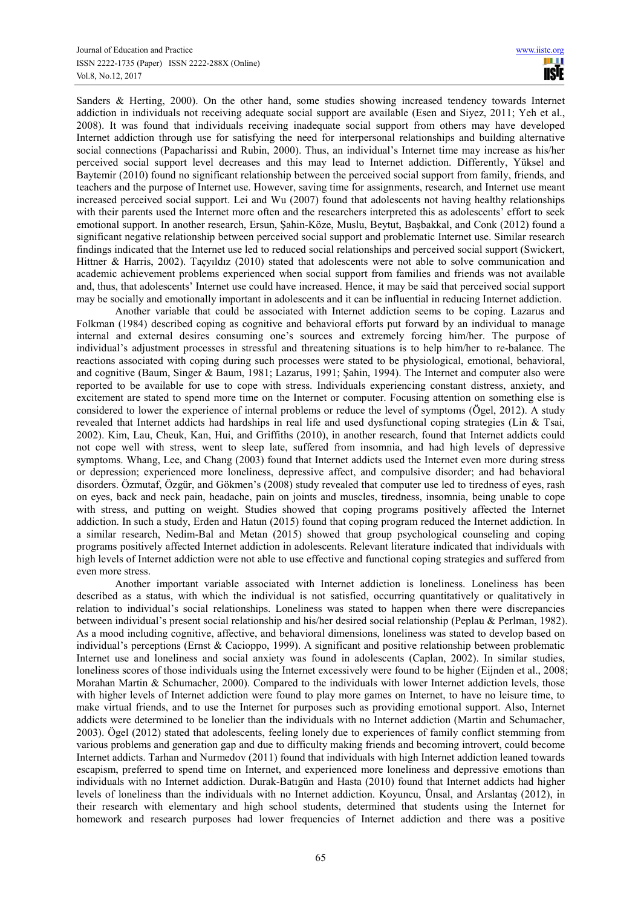Sanders & Herting, 2000). On the other hand, some studies showing increased tendency towards Internet addiction in individuals not receiving adequate social support are available (Esen and Siyez, 2011; Yeh et al., 2008). It was found that individuals receiving inadequate social support from others may have developed Internet addiction through use for satisfying the need for interpersonal relationships and building alternative social connections (Papacharissi and Rubin, 2000). Thus, an individual's Internet time may increase as his/her perceived social support level decreases and this may lead to Internet addiction. Differently, Yüksel and Baytemir (2010) found no significant relationship between the perceived social support from family, friends, and teachers and the purpose of Internet use. However, saving time for assignments, research, and Internet use meant increased perceived social support. Lei and Wu (2007) found that adolescents not having healthy relationships with their parents used the Internet more often and the researchers interpreted this as adolescents' effort to seek emotional support. In another research, Ersun, Şahin-Köze, Muslu, Beytut, Başbakkal, and Conk (2012) found a significant negative relationship between perceived social support and problematic Internet use. Similar research findings indicated that the Internet use led to reduced social relationships and perceived social support (Swickert, Hittner & Harris, 2002). Taçyıldız (2010) stated that adolescents were not able to solve communication and academic achievement problems experienced when social support from families and friends was not available and, thus, that adolescents' Internet use could have increased. Hence, it may be said that perceived social support may be socially and emotionally important in adolescents and it can be influential in reducing Internet addiction.

Another variable that could be associated with Internet addiction seems to be coping. Lazarus and Folkman (1984) described coping as cognitive and behavioral efforts put forward by an individual to manage internal and external desires consuming one's sources and extremely forcing him/her. The purpose of individual's adjustment processes in stressful and threatening situations is to help him/her to re-balance. The reactions associated with coping during such processes were stated to be physiological, emotional, behavioral, and cognitive (Baum, Singer & Baum, 1981; Lazarus, 1991; Şahin, 1994). The Internet and computer also were reported to be available for use to cope with stress. Individuals experiencing constant distress, anxiety, and excitement are stated to spend more time on the Internet or computer. Focusing attention on something else is considered to lower the experience of internal problems or reduce the level of symptoms (Ögel, 2012). A study revealed that Internet addicts had hardships in real life and used dysfunctional coping strategies (Lin & Tsai, 2002). Kim, Lau, Cheuk, Kan, Hui, and Griffiths (2010), in another research, found that Internet addicts could not cope well with stress, went to sleep late, suffered from insomnia, and had high levels of depressive symptoms. Whang, Lee, and Chang (2003) found that Internet addicts used the Internet even more during stress or depression; experienced more loneliness, depressive affect, and compulsive disorder; and had behavioral disorders. Özmutaf, Özgür, and Gökmen's (2008) study revealed that computer use led to tiredness of eyes, rash on eyes, back and neck pain, headache, pain on joints and muscles, tiredness, insomnia, being unable to cope with stress, and putting on weight. Studies showed that coping programs positively affected the Internet addiction. In such a study, Erden and Hatun (2015) found that coping program reduced the Internet addiction. In a similar research, Nedim-Bal and Metan (2015) showed that group psychological counseling and coping programs positively affected Internet addiction in adolescents. Relevant literature indicated that individuals with high levels of Internet addiction were not able to use effective and functional coping strategies and suffered from even more stress.

Another important variable associated with Internet addiction is loneliness. Loneliness has been described as a status, with which the individual is not satisfied, occurring quantitatively or qualitatively in relation to individual's social relationships. Loneliness was stated to happen when there were discrepancies between individual's present social relationship and his/her desired social relationship (Peplau & Perlman, 1982). As a mood including cognitive, affective, and behavioral dimensions, loneliness was stated to develop based on individual's perceptions (Ernst & Cacioppo, 1999). A significant and positive relationship between problematic Internet use and loneliness and social anxiety was found in adolescents (Caplan, 2002). In similar studies, loneliness scores of those individuals using the Internet excessively were found to be higher (Eijnden et al., 2008; Morahan Martin & Schumacher, 2000). Compared to the individuals with lower Internet addiction levels, those with higher levels of Internet addiction were found to play more games on Internet, to have no leisure time, to make virtual friends, and to use the Internet for purposes such as providing emotional support. Also, Internet addicts were determined to be lonelier than the individuals with no Internet addiction (Martin and Schumacher, 2003). Ögel (2012) stated that adolescents, feeling lonely due to experiences of family conflict stemming from various problems and generation gap and due to difficulty making friends and becoming introvert, could become Internet addicts. Tarhan and Nurmedov (2011) found that individuals with high Internet addiction leaned towards escapism, preferred to spend time on Internet, and experienced more loneliness and depressive emotions than individuals with no Internet addiction. Durak-Batıgün and Hasta (2010) found that Internet addicts had higher levels of loneliness than the individuals with no Internet addiction. Koyuncu, Ünsal, and Arslantaş (2012), in their research with elementary and high school students, determined that students using the Internet for homework and research purposes had lower frequencies of Internet addiction and there was a positive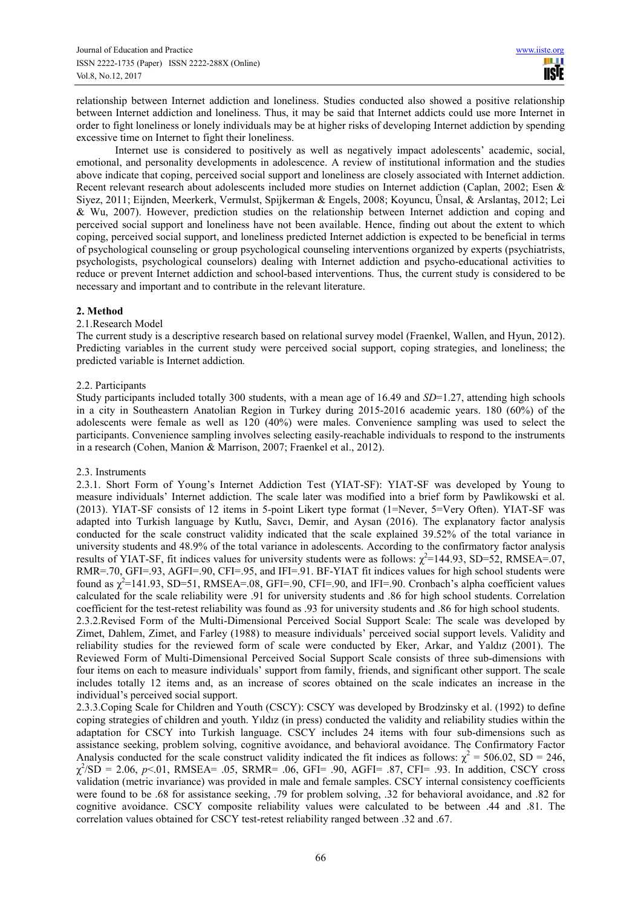relationship between Internet addiction and loneliness. Studies conducted also showed a positive relationship between Internet addiction and loneliness. Thus, it may be said that Internet addicts could use more Internet in order to fight loneliness or lonely individuals may be at higher risks of developing Internet addiction by spending excessive time on Internet to fight their loneliness.

Internet use is considered to positively as well as negatively impact adolescents' academic, social, emotional, and personality developments in adolescence. A review of institutional information and the studies above indicate that coping, perceived social support and loneliness are closely associated with Internet addiction. Recent relevant research about adolescents included more studies on Internet addiction (Caplan, 2002; Esen & Siyez, 2011; Eijnden, Meerkerk, Vermulst, Spijkerman & Engels, 2008; Koyuncu, Ünsal, & Arslantaş, 2012; Lei & Wu, 2007). However, prediction studies on the relationship between Internet addiction and coping and perceived social support and loneliness have not been available. Hence, finding out about the extent to which coping, perceived social support, and loneliness predicted Internet addiction is expected to be beneficial in terms of psychological counseling or group psychological counseling interventions organized by experts (psychiatrists, psychologists, psychological counselors) dealing with Internet addiction and psycho-educational activities to reduce or prevent Internet addiction and school-based interventions. Thus, the current study is considered to be necessary and important and to contribute in the relevant literature.

# **2. Method**

# 2.1.Research Model

The current study is a descriptive research based on relational survey model (Fraenkel, Wallen, and Hyun, 2012). Predicting variables in the current study were perceived social support, coping strategies, and loneliness; the predicted variable is Internet addiction*.* 

# 2.2. Participants

Study participants included totally 300 students, with a mean age of 16.49 and *SD*=1.27, attending high schools in a city in Southeastern Anatolian Region in Turkey during 2015-2016 academic years. 180 (60%) of the adolescents were female as well as 120 (40%) were males. Convenience sampling was used to select the participants. Convenience sampling involves selecting easily-reachable individuals to respond to the instruments in a research (Cohen, Manion & Marrison, 2007; Fraenkel et al., 2012).

#### 2.3. Instruments

2.3.1. Short Form of Young's Internet Addiction Test (YIAT-SF): YIAT-SF was developed by Young to measure individuals' Internet addiction. The scale later was modified into a brief form by Pawlikowski et al. (2013). YIAT-SF consists of 12 items in 5-point Likert type format (1=Never, 5=Very Often). YIAT-SF was adapted into Turkish language by Kutlu, Savcı, Demir, and Aysan (2016). The explanatory factor analysis conducted for the scale construct validity indicated that the scale explained 39.52% of the total variance in university students and 48.9% of the total variance in adolescents. According to the confirmatory factor analysis results of YIAT-SF, fit indices values for university students were as follows:  $\chi^2$ =144.93, SD=52, RMSEA=.07, RMR=.70, GFI=.93, AGFI=.90, CFI=.95, and IFI=.91. BF-YIAT fit indices values for high school students were found as  $\chi^2$ =141.93, SD=51, RMSEA=.08, GFI=.90, CFI=.90, and IFI=.90. Cronbach's alpha coefficient values calculated for the scale reliability were .91 for university students and .86 for high school students. Correlation coefficient for the test-retest reliability was found as .93 for university students and .86 for high school students. 2.3.2.Revised Form of the Multi-Dimensional Perceived Social Support Scale: The scale was developed by

Zimet, Dahlem, Zimet, and Farley (1988) to measure individuals' perceived social support levels. Validity and reliability studies for the reviewed form of scale were conducted by Eker, Arkar, and Yaldız (2001). The Reviewed Form of Multi-Dimensional Perceived Social Support Scale consists of three sub-dimensions with four items on each to measure individuals' support from family, friends, and significant other support. The scale includes totally 12 items and, as an increase of scores obtained on the scale indicates an increase in the individual's perceived social support.

2.3.3.Coping Scale for Children and Youth (CSCY): CSCY was developed by Brodzinsky et al. (1992) to define coping strategies of children and youth. Yıldız (in press) conducted the validity and reliability studies within the adaptation for CSCY into Turkish language. CSCY includes 24 items with four sub-dimensions such as assistance seeking, problem solving, cognitive avoidance, and behavioral avoidance. The Confirmatory Factor Analysis conducted for the scale construct validity indicated the fit indices as follows:  $\chi^2$  = 506.02, SD = 246,  $\chi^2$ /SD = 2.06, *p*<.01, RMSEA= .05, SRMR= .06, GFI= .90, AGFI= .87, CFI= .93. In addition, CSCY cross validation (metric invariance) was provided in male and female samples. CSCY internal consistency coefficients were found to be .68 for assistance seeking, .79 for problem solving, .32 for behavioral avoidance, and .82 for cognitive avoidance. CSCY composite reliability values were calculated to be between .44 and .81. The correlation values obtained for CSCY test-retest reliability ranged between .32 and .67.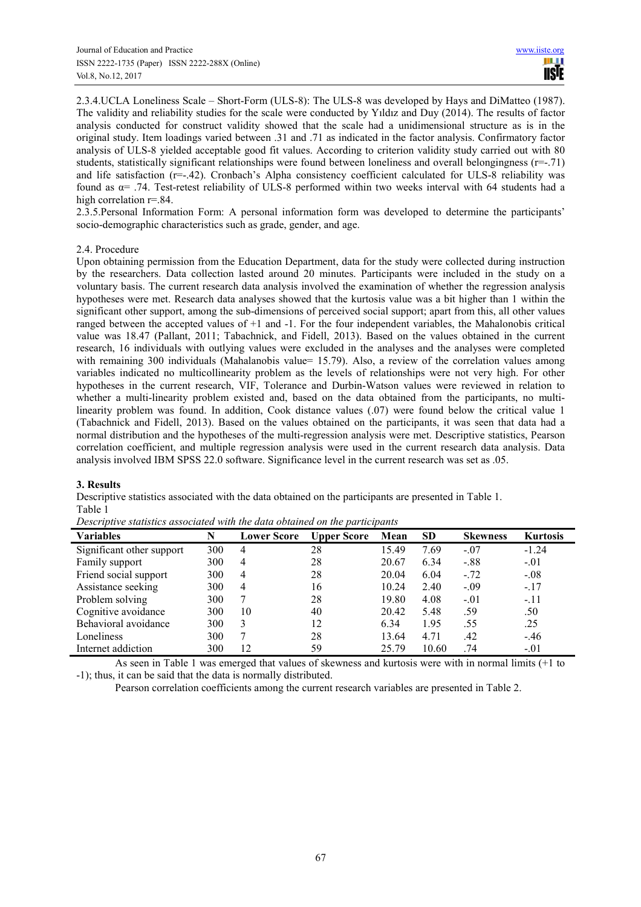2.3.4.UCLA Loneliness Scale – Short-Form (ULS-8): The ULS-8 was developed by Hays and DiMatteo (1987). The validity and reliability studies for the scale were conducted by Yıldız and Duy (2014). The results of factor analysis conducted for construct validity showed that the scale had a unidimensional structure as is in the original study. Item loadings varied between .31 and .71 as indicated in the factor analysis. Confirmatory factor analysis of ULS-8 yielded acceptable good fit values. According to criterion validity study carried out with 80 students, statistically significant relationships were found between loneliness and overall belongingness (r=-.71) and life satisfaction (r=-.42). Cronbach's Alpha consistency coefficient calculated for ULS-8 reliability was found as  $\alpha$ = .74. Test-retest reliability of ULS-8 performed within two weeks interval with 64 students had a high correlation  $r=.84$ .

2.3.5.Personal Information Form: A personal information form was developed to determine the participants' socio-demographic characteristics such as grade, gender, and age.

# 2.4. Procedure

Upon obtaining permission from the Education Department, data for the study were collected during instruction by the researchers. Data collection lasted around 20 minutes. Participants were included in the study on a voluntary basis. The current research data analysis involved the examination of whether the regression analysis hypotheses were met. Research data analyses showed that the kurtosis value was a bit higher than 1 within the significant other support, among the sub-dimensions of perceived social support; apart from this, all other values ranged between the accepted values of +1 and -1. For the four independent variables, the Mahalonobis critical value was 18.47 (Pallant, 2011; Tabachnick, and Fidell, 2013). Based on the values obtained in the current research, 16 individuals with outlying values were excluded in the analyses and the analyses were completed with remaining 300 individuals (Mahalanobis value= 15.79). Also, a review of the correlation values among variables indicated no multicollinearity problem as the levels of relationships were not very high. For other hypotheses in the current research, VIF, Tolerance and Durbin-Watson values were reviewed in relation to whether a multi-linearity problem existed and, based on the data obtained from the participants, no multilinearity problem was found. In addition, Cook distance values (.07) were found below the critical value 1 (Tabachnick and Fidell, 2013). Based on the values obtained on the participants, it was seen that data had a normal distribution and the hypotheses of the multi-regression analysis were met. Descriptive statistics, Pearson correlation coefficient, and multiple regression analysis were used in the current research data analysis. Data analysis involved IBM SPSS 22.0 software. Significance level in the current research was set as .05.

#### **3. Results**

Descriptive statistics associated with the data obtained on the participants are presented in Table 1. Table 1

| <b>Variables</b>          | N   | <b>Lower Score</b> | <b>Upper Score</b> | $\overline{ }$<br>Mean | SD    | <b>Skewness</b> | <b>Kurtosis</b> |
|---------------------------|-----|--------------------|--------------------|------------------------|-------|-----------------|-----------------|
| Significant other support | 300 | 4                  | 28                 | 15.49                  | 7.69  | $-.07$          | $-1.24$         |
| Family support            | 300 | 4                  | 28                 | 20.67                  | 6.34  | $-.88$          | $-.01$          |
| Friend social support     | 300 | 4                  | 28                 | 20.04                  | 6.04  | $-72$           | $-.08$          |
| Assistance seeking        | 300 | 4                  | 16                 | 10.24                  | 2.40  | $-.09$          | $-.17$          |
| Problem solving           | 300 |                    | 28                 | 19.80                  | 4.08  | $-.01$          | $-.11$          |
| Cognitive avoidance       | 300 | 10                 | 40                 | 20.42                  | 5.48  | .59             | .50             |
| Behavioral avoidance      | 300 | 3                  | 12                 | 6.34                   | 1.95  | .55             | .25             |
| Loneliness                | 300 | ⇁                  | 28                 | 13.64                  | 4.71  | .42             | $-46$           |
| Internet addiction        | 300 | 12                 | 59                 | 25.79                  | 10.60 | .74             | $-.01$          |

*Descriptive statistics associated with the data obtained on the participants*

As seen in Table 1 was emerged that values of skewness and kurtosis were with in normal limits (+1 to -1); thus, it can be said that the data is normally distributed.

Pearson correlation coefficients among the current research variables are presented in Table 2.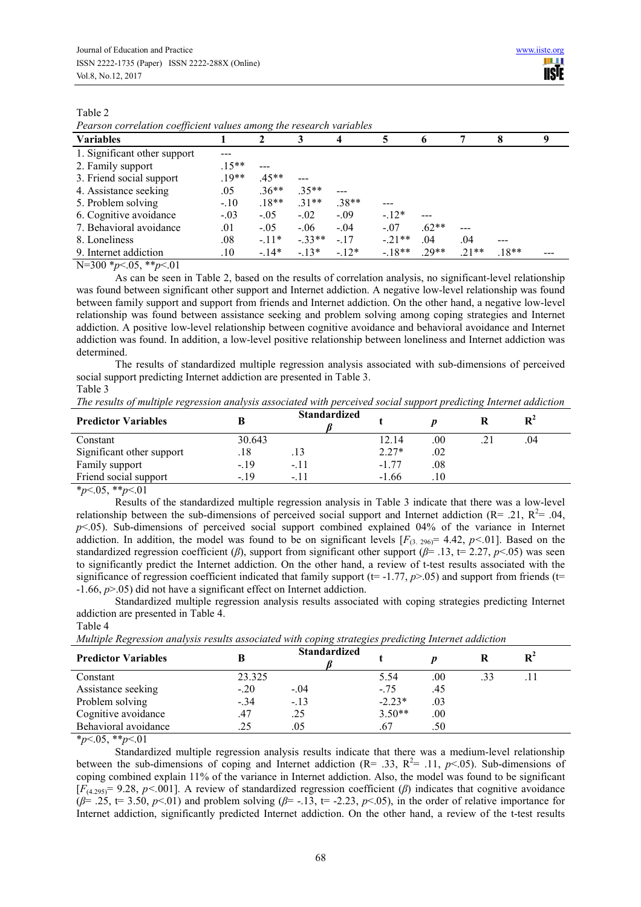*Pearson correlation coefficient values among the research variables*

| <b>Variables</b>             |         | 2       |         |         |         | 6       | 7       | 8       |  |
|------------------------------|---------|---------|---------|---------|---------|---------|---------|---------|--|
| 1. Significant other support |         |         |         |         |         |         |         |         |  |
| 2. Family support            | $.15**$ |         |         |         |         |         |         |         |  |
| 3. Friend social support     | $19**$  | $.45**$ |         |         |         |         |         |         |  |
| 4. Assistance seeking        | .05     | $.36**$ | $35**$  | ---     |         |         |         |         |  |
| 5. Problem solving           | $-.10$  | $.18**$ | $.31**$ | $.38**$ |         |         |         |         |  |
| 6. Cognitive avoidance       | $-.03$  | $-.05$  | $-.02$  | $-.09$  | $-12*$  |         |         |         |  |
| 7. Behavioral avoidance      | .01     | $-.05$  | $-.06$  | $-04$   | $-.07$  | $.62**$ |         |         |  |
| 8. Loneliness                | .08     | $-11*$  | $-33**$ | $-17$   | $-21**$ | .04     | .04     |         |  |
| 9. Internet addiction        | .10     | $-14*$  | $-13*$  | $-12*$  | $-18**$ | $.29**$ | $.21**$ | $.18**$ |  |

N=300 \**p*<.05, \*\**p*<.01

As can be seen in Table 2, based on the results of correlation analysis, no significant-level relationship was found between significant other support and Internet addiction. A negative low-level relationship was found between family support and support from friends and Internet addiction. On the other hand, a negative low-level relationship was found between assistance seeking and problem solving among coping strategies and Internet addiction. A positive low-level relationship between cognitive avoidance and behavioral avoidance and Internet addiction was found. In addition, a low-level positive relationship between loneliness and Internet addiction was determined.

The results of standardized multiple regression analysis associated with sub-dimensions of perceived social support predicting Internet addiction are presented in Table 3. Table 3

| The results of multiple regression analysis associated with perceived social support predicting Internet addiction |  |  |
|--------------------------------------------------------------------------------------------------------------------|--|--|
|                                                                                                                    |  |  |

| <b>Predictor Variables</b> |        | <b>Standardized</b> |         |         |    |
|----------------------------|--------|---------------------|---------|---------|----|
| Constant                   | 30.643 |                     | 12.14   | $.00\,$ | 04 |
| Significant other support  | 18     |                     | $2.27*$ | .02     |    |
| Family support             | $-19$  | $-.11$              | $-177$  | .08     |    |
| Friend social support      | $-19$  | - 11                | $-1.66$ |         |    |
|                            |        |                     |         |         |    |

\**p*<.05, \*\**p*<.01

Results of the standardized multiple regression analysis in Table 3 indicate that there was a low-level relationship between the sub-dimensions of perceived social support and Internet addiction ( $R = .21$ ,  $R^2 = .04$ ,  $p$ <.05). Sub-dimensions of perceived social support combined explained 04% of the variance in Internet addiction. In addition, the model was found to be on significant levels  $[F_{(3, 296)} = 4.42, p<0.01]$ . Based on the standardized regression coefficient ( $\beta$ ), support from significant other support ( $\beta$ = .13, t= 2.27,  $p$ <.05) was seen to significantly predict the Internet addiction. On the other hand, a review of t-test results associated with the significance of regression coefficient indicated that family support ( $t=$  -1.77,  $p$  $>$ .05) and support from friends ( $t=$ -1.66, *p*>.05) did not have a significant effect on Internet addiction.

Standardized multiple regression analysis results associated with coping strategies predicting Internet addiction are presented in Table 4.

Table 4

| <b>Predictor Variables</b> |        | <b>Standardized</b> |          |     |     |  |
|----------------------------|--------|---------------------|----------|-----|-----|--|
| Constant                   | 23.325 |                     | 5.54     | .00 | .33 |  |
| Assistance seeking         | $-20$  | $-.04$              | $-75$    | .45 |     |  |
| Problem solving            | $-.34$ | $-.13$              | $-2.23*$ | .03 |     |  |
| Cognitive avoidance        | .47    | .25                 | $3.50**$ | .00 |     |  |
| Behavioral avoidance       | 25     | .05                 |          | .50 |     |  |

*Multiple Regression analysis results associated with coping strategies predicting Internet addiction*

 $*_{p<.05}$ ,  $*_{p<.01}$ 

Standardized multiple regression analysis results indicate that there was a medium-level relationship between the sub-dimensions of coping and Internet addiction ( $R = 0.33$ ,  $R^2 = 0.11$ ,  $p < 0.05$ ). Sub-dimensions of coping combined explain 11% of the variance in Internet addiction. Also, the model was found to be significant  $[F_{(4.295)}= 9.28, p<.001]$ . A review of standardized regression coefficient ( $\beta$ ) indicates that cognitive avoidance  $(\beta = .25, t = 3.50, p < .01)$  and problem solving  $(\beta = .13, t = .2.23, p < .05)$ , in the order of relative importance for Internet addiction, significantly predicted Internet addiction. On the other hand, a review of the t-test results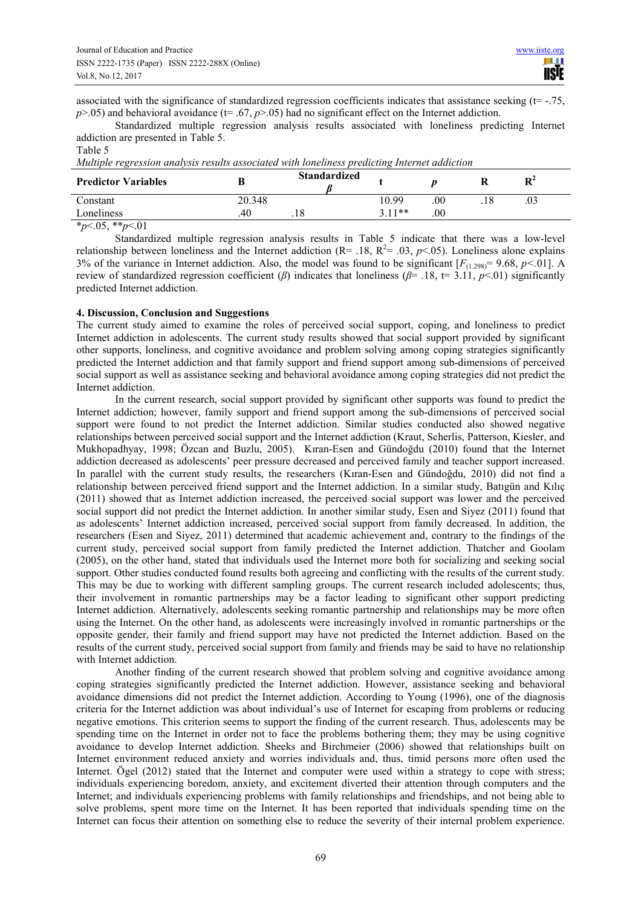associated with the significance of standardized regression coefficients indicates that assistance seeking (t= -.75,  $p$ >.05) and behavioral avoidance ( $t$ = .67,  $p$ >.05) had no significant effect on the Internet addiction.

Standardized multiple regression analysis results associated with loneliness predicting Internet addiction are presented in Table 5.

# Table 5

*Multiple regression analysis results associated with loneliness predicting Internet addiction*

| $\cdot$<br><b>Predictor Variables</b> |        | <b>Standardized</b> | $\sim$ |     | D <sup>2</sup> |  |
|---------------------------------------|--------|---------------------|--------|-----|----------------|--|
| Constant                              | 20.348 |                     | 10.99  | .00 | .U3            |  |
| Loneliness                            | 40     | .18                 | $11**$ | 00  |                |  |
|                                       |        |                     |        |     |                |  |

\**p*<.05, \*\**p*<.01

Standardized multiple regression analysis results in Table 5 indicate that there was a low-level relationship between loneliness and the Internet addiction ( $R$ = .18,  $R$ <sup>2</sup>= .03,  $p$ <.05). Loneliness alone explains 3% of the variance in Internet addiction. Also, the model was found to be significant  $[F(1.298) = 9.68, p < 0.01]$ . A review of standardized regression coefficient (*β*) indicates that loneliness (*β*= .18, t= 3.11, *p*<.01) significantly predicted Internet addiction.

# **4. Discussion, Conclusion and Suggestions**

The current study aimed to examine the roles of perceived social support, coping, and loneliness to predict Internet addiction in adolescents. The current study results showed that social support provided by significant other supports, loneliness, and cognitive avoidance and problem solving among coping strategies significantly predicted the Internet addiction and that family support and friend support among sub-dimensions of perceived social support as well as assistance seeking and behavioral avoidance among coping strategies did not predict the Internet addiction.

In the current research, social support provided by significant other supports was found to predict the Internet addiction; however, family support and friend support among the sub-dimensions of perceived social support were found to not predict the Internet addiction. Similar studies conducted also showed negative relationships between perceived social support and the Internet addiction (Kraut, Scherlis, Patterson, Kiesler, and Mukhopadhyay, 1998; Özcan and Buzlu, 2005). Kıran-Esen and Gündoğdu (2010) found that the Internet addiction decreased as adolescents' peer pressure decreased and perceived family and teacher support increased. In parallel with the current study results, the researchers (Kıran-Esen and Gündoğdu, 2010) did not find a relationship between perceived friend support and the Internet addiction. In a similar study, Batıgün and Kılıç (2011) showed that as Internet addiction increased, the perceived social support was lower and the perceived social support did not predict the Internet addiction. In another similar study, Esen and Siyez (2011) found that as adolescents' Internet addiction increased, perceived social support from family decreased. In addition, the researchers (Esen and Siyez, 2011) determined that academic achievement and, contrary to the findings of the current study, perceived social support from family predicted the Internet addiction. Thatcher and Goolam (2005), on the other hand, stated that individuals used the Internet more both for socializing and seeking social support. Other studies conducted found results both agreeing and conflicting with the results of the current study. This may be due to working with different sampling groups. The current research included adolescents; thus, their involvement in romantic partnerships may be a factor leading to significant other support predicting Internet addiction. Alternatively, adolescents seeking romantic partnership and relationships may be more often using the Internet. On the other hand, as adolescents were increasingly involved in romantic partnerships or the opposite gender, their family and friend support may have not predicted the Internet addiction. Based on the results of the current study, perceived social support from family and friends may be said to have no relationship with Internet addiction.

Another finding of the current research showed that problem solving and cognitive avoidance among coping strategies significantly predicted the Internet addiction. However, assistance seeking and behavioral avoidance dimensions did not predict the Internet addiction. According to Young (1996), one of the diagnosis criteria for the Internet addiction was about individual's use of Internet for escaping from problems or reducing negative emotions. This criterion seems to support the finding of the current research. Thus, adolescents may be spending time on the Internet in order not to face the problems bothering them; they may be using cognitive avoidance to develop Internet addiction. Sheeks and Birchmeier (2006) showed that relationships built on Internet environment reduced anxiety and worries individuals and, thus, timid persons more often used the Internet. Ögel (2012) stated that the Internet and computer were used within a strategy to cope with stress; individuals experiencing boredom, anxiety, and excitement diverted their attention through computers and the Internet; and individuals experiencing problems with family relationships and friendships, and not being able to solve problems, spent more time on the Internet. It has been reported that individuals spending time on the Internet can focus their attention on something else to reduce the severity of their internal problem experience.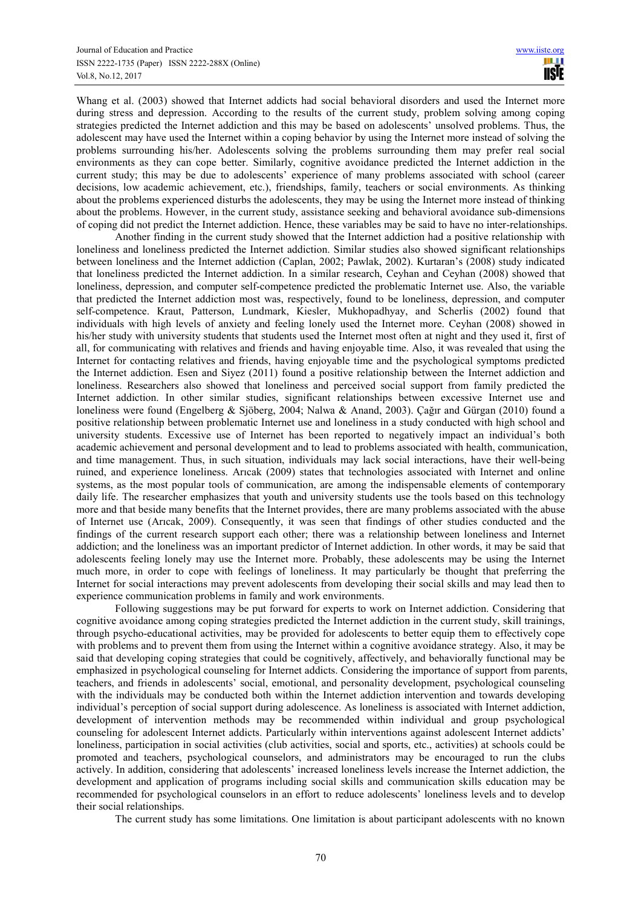Whang et al. (2003) showed that Internet addicts had social behavioral disorders and used the Internet more during stress and depression. According to the results of the current study, problem solving among coping strategies predicted the Internet addiction and this may be based on adolescents' unsolved problems. Thus, the adolescent may have used the Internet within a coping behavior by using the Internet more instead of solving the problems surrounding his/her. Adolescents solving the problems surrounding them may prefer real social environments as they can cope better. Similarly, cognitive avoidance predicted the Internet addiction in the current study; this may be due to adolescents' experience of many problems associated with school (career decisions, low academic achievement, etc.), friendships, family, teachers or social environments. As thinking about the problems experienced disturbs the adolescents, they may be using the Internet more instead of thinking about the problems. However, in the current study, assistance seeking and behavioral avoidance sub-dimensions of coping did not predict the Internet addiction. Hence, these variables may be said to have no inter-relationships.

Another finding in the current study showed that the Internet addiction had a positive relationship with loneliness and loneliness predicted the Internet addiction. Similar studies also showed significant relationships between loneliness and the Internet addiction (Caplan, 2002; Pawlak, 2002). Kurtaran's (2008) study indicated that loneliness predicted the Internet addiction. In a similar research, Ceyhan and Ceyhan (2008) showed that loneliness, depression, and computer self-competence predicted the problematic Internet use. Also, the variable that predicted the Internet addiction most was, respectively, found to be loneliness, depression, and computer self-competence. Kraut, Patterson, Lundmark, Kiesler, Mukhopadhyay, and Scherlis (2002) found that individuals with high levels of anxiety and feeling lonely used the Internet more. Ceyhan (2008) showed in his/her study with university students that students used the Internet most often at night and they used it, first of all, for communicating with relatives and friends and having enjoyable time. Also, it was revealed that using the Internet for contacting relatives and friends, having enjoyable time and the psychological symptoms predicted the Internet addiction. Esen and Siyez (2011) found a positive relationship between the Internet addiction and loneliness. Researchers also showed that loneliness and perceived social support from family predicted the Internet addiction. In other similar studies, significant relationships between excessive Internet use and loneliness were found (Engelberg & Sjöberg, 2004; Nalwa & Anand, 2003). Çağır and Gürgan (2010) found a positive relationship between problematic Internet use and loneliness in a study conducted with high school and university students. Excessive use of Internet has been reported to negatively impact an individual's both academic achievement and personal development and to lead to problems associated with health, communication, and time management. Thus, in such situation, individuals may lack social interactions, have their well-being ruined, and experience loneliness. Arıcak (2009) states that technologies associated with Internet and online systems, as the most popular tools of communication, are among the indispensable elements of contemporary daily life. The researcher emphasizes that youth and university students use the tools based on this technology more and that beside many benefits that the Internet provides, there are many problems associated with the abuse of Internet use (Arıcak, 2009). Consequently, it was seen that findings of other studies conducted and the findings of the current research support each other; there was a relationship between loneliness and Internet addiction; and the loneliness was an important predictor of Internet addiction. In other words, it may be said that adolescents feeling lonely may use the Internet more. Probably, these adolescents may be using the Internet much more, in order to cope with feelings of loneliness. It may particularly be thought that preferring the Internet for social interactions may prevent adolescents from developing their social skills and may lead then to experience communication problems in family and work environments.

Following suggestions may be put forward for experts to work on Internet addiction. Considering that cognitive avoidance among coping strategies predicted the Internet addiction in the current study, skill trainings, through psycho-educational activities, may be provided for adolescents to better equip them to effectively cope with problems and to prevent them from using the Internet within a cognitive avoidance strategy. Also, it may be said that developing coping strategies that could be cognitively, affectively, and behaviorally functional may be emphasized in psychological counseling for Internet addicts. Considering the importance of support from parents, teachers, and friends in adolescents' social, emotional, and personality development, psychological counseling with the individuals may be conducted both within the Internet addiction intervention and towards developing individual's perception of social support during adolescence. As loneliness is associated with Internet addiction, development of intervention methods may be recommended within individual and group psychological counseling for adolescent Internet addicts. Particularly within interventions against adolescent Internet addicts' loneliness, participation in social activities (club activities, social and sports, etc., activities) at schools could be promoted and teachers, psychological counselors, and administrators may be encouraged to run the clubs actively. In addition, considering that adolescents' increased loneliness levels increase the Internet addiction, the development and application of programs including social skills and communication skills education may be recommended for psychological counselors in an effort to reduce adolescents' loneliness levels and to develop their social relationships.

The current study has some limitations. One limitation is about participant adolescents with no known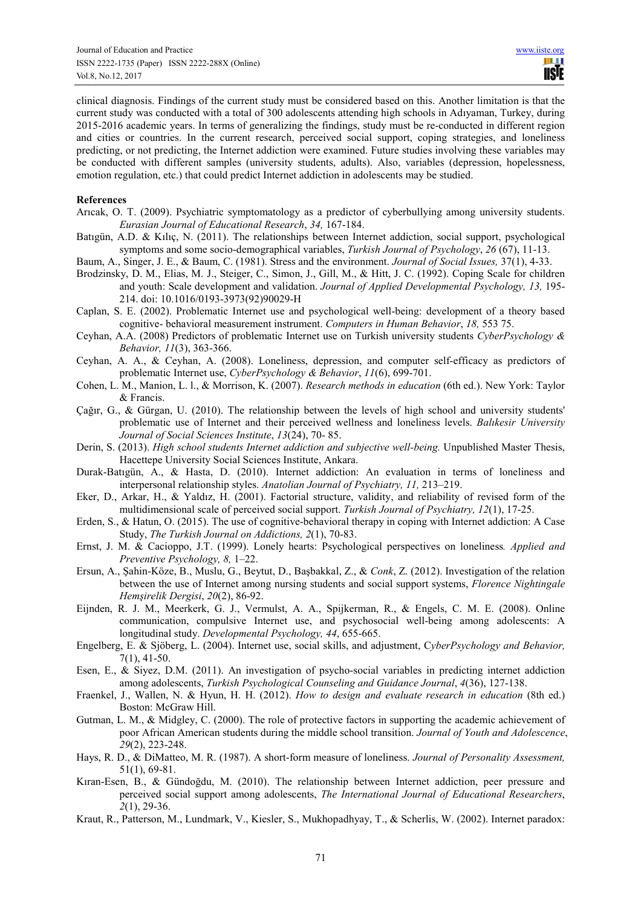clinical diagnosis. Findings of the current study must be considered based on this. Another limitation is that the current study was conducted with a total of 300 adolescents attending high schools in Adıyaman, Turkey, during 2015-2016 academic years. In terms of generalizing the findings, study must be re-conducted in different region and cities or countries. In the current research, perceived social support, coping strategies, and loneliness predicting, or not predicting, the Internet addiction were examined. Future studies involving these variables may be conducted with different samples (university students, adults). Also, variables (depression, hopelessness, emotion regulation, etc.) that could predict Internet addiction in adolescents may be studied.

#### **References**

- Arıcak, O. T. (2009). Psychiatric symptomatology as a predictor of cyberbullying among university students. *Eurasian Journal of Educational Research*, *34,* 167-184.
- Batıgün, A.D. & Kılıç, N. (2011). The relationships between Internet addiction, social support, psychological symptoms and some socio-demographical variables, *Turkish Journal of Psychology*, *26* (67), 11-13.

Baum, A., Singer, J. E., & Baum, C. (1981). Stress and the environment. *Journal of Social Issues,* 37(1), 4-33.

- Brodzinsky, D. M., Elias, M. J., Steiger, C., Simon, J., Gill, M., & Hitt, J. C. (1992). Coping Scale for children and youth: Scale development and validation. *Journal of Applied Developmental Psychology, 13*, 195-214. doi: 10.1016/0193-3973(92)90029-H
- Caplan, S. E. (2002). Problematic Internet use and psychological well-being: development of a theory based cognitive- behavioral measurement instrument. *Computers in Human Behavior*, *18,* 553 75.
- Ceyhan, A.A. (2008) Predictors of problematic Internet use on Turkish university students *CyberPsychology & Behavior, 11*(3), 363-366.
- Ceyhan, A. A., & Ceyhan, A. (2008). Loneliness, depression, and computer self-efficacy as predictors of problematic Internet use, *CyberPsychology & Behavior*, *11*(6), 699-701.
- Cohen, L. M., Manion, L. l., & Morrison, K. (2007). *Research methods in education* (6th ed.). New York: Taylor & Francis.
- Çağır, G., & Gürgan, U. (2010). The relationship between the levels of high school and university students' problematic use of Internet and their perceived wellness and loneliness levels. *Balıkesir University Journal of Social Sciences Institute*, *13*(24), 70- 85.
- Derin, S. (2013). *High school students Internet addiction and subjective well-being.* Unpublished Master Thesis, Hacettepe University Social Sciences Institute, Ankara.
- Durak-Batıgün, A., & Hasta, D. (2010). Internet addiction: An evaluation in terms of loneliness and interpersonal relationship styles. *Anatolian Journal of Psychiatry, 11,* 213–219.
- Eker, D., Arkar, H., & Yaldız, H. (2001). Factorial structure, validity, and reliability of revised form of the multidimensional scale of perceived social support. *Turkish Journal of Psychiatry, 12*(1), 17-25.
- Erden, S., & Hatun, O. (2015). The use of cognitive-behavioral therapy in coping with Internet addiction: A Case Study, *The Turkish Journal on Addictions, 2*(1), 70-83.
- Ernst, J. M. & Cacioppo, J.T. (1999). Lonely hearts: Psychological perspectives on loneliness*. Applied and Preventive Psychology, 8,* 1–22.
- Ersun, A., Şahin-Köze, B., Muslu, G., Beytut, D., Başbakkal, Z., & *Conk*, Z. (2012). Investigation of the relation between the use of Internet among nursing students and social support systems, *Florence Nightingale Hemşirelik Dergisi*, *20*(2), 86-92.
- Eijnden, R. J. M., Meerkerk, G. J., Vermulst, A. A., Spijkerman, R., & Engels, C. M. E. (2008). Online communication, compulsive Internet use, and psychosocial well-being among adolescents: A longitudinal study. *Developmental Psychology, 44*, 655-665.
- Engelberg, E. & Sjöberg, L. (2004). Internet use, social skills, and adjustment, C*yberPsychology and Behavior,*  7(1), 41-50.
- Esen, E., & Siyez, D.M. (2011). An investigation of psycho-social variables in predicting internet addiction among adolescents, *Turkish Psychological Counseling and Guidance Journal*, *4*(36), 127-138.
- Fraenkel, J., Wallen, N. & Hyun, H. H. (2012). *How to design and evaluate research in education* (8th ed.) Boston: McGraw Hill.
- Gutman, L. M., & Midgley, C. (2000). The role of protective factors in supporting the academic achievement of poor African American students during the middle school transition. *Journal of Youth and Adolescence*, *29*(2), 223-248.
- Hays, R. D., & DiMatteo, M. R. (1987). A short-form measure of loneliness. *Journal of Personality Assessment,*  51(1), 69-81.
- Kıran-Esen, B., & Gündoğdu, M. (2010). The relationship between Internet addiction, peer pressure and perceived social support among adolescents, *The International Journal of Educational Researchers*, *2*(1), 29-36.
- Kraut, R., Patterson, M., Lundmark, V., Kiesler, S., Mukhopadhyay, T., & Scherlis, W. (2002). Internet paradox: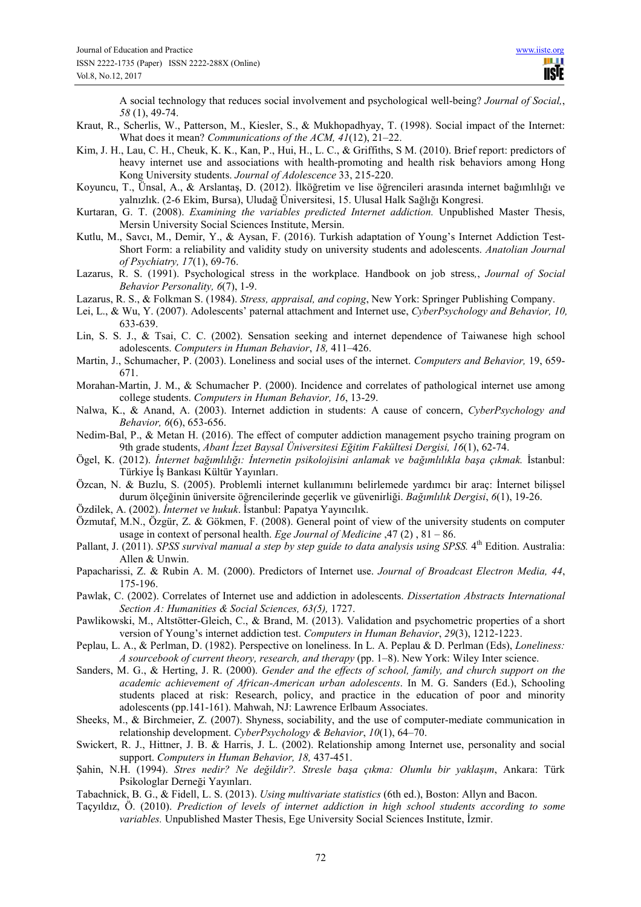A social technology that reduces social involvement and psychological well-being? *Journal of Social,*, *58* (1), 49-74.

- Kraut, R., Scherlis, W., Patterson, M., Kiesler, S., & Mukhopadhyay, T. (1998). Social impact of the Internet: What does it mean? *Communications of the ACM, 41*(12), 21–22.
- Kim, J. H., Lau, C. H., Cheuk, K. K., Kan, P., Hui, H., L. C., & Griffiths, S M. (2010). Brief report: predictors of heavy internet use and associations with health-promoting and health risk behaviors among Hong Kong University students. *Journal of Adolescence* 33, 215-220.
- Koyuncu, T., Ünsal, A., & Arslantaş, D. (2012). İlköğretim ve lise öğrencileri arasında internet bağımlılığı ve yalnızlık. (2-6 Ekim, Bursa), Uludağ Üniversitesi, 15. Ulusal Halk Sağlığı Kongresi.
- Kurtaran, G. T. (2008). *Examining the variables predicted Internet addiction.* Unpublished Master Thesis, Mersin University Social Sciences Institute, Mersin.
- Kutlu, M., Savcı, M., Demir, Y., & Aysan, F. (2016). Turkish adaptation of Young's Internet Addiction Test-Short Form: a reliability and validity study on university students and adolescents. *Anatolian Journal of Psychiatry, 17*(1), 69-76.
- Lazarus, R. S. (1991). Psychological stress in the workplace. Handbook on job stress*,*, *Journal of Social Behavior Personality, 6*(7), 1-9.
- Lazarus, R. S., & Folkman S. (1984). *Stress, appraisal, and coping*, New York: Springer Publishing Company.
- Lei, L., & Wu, Y. (2007). Adolescents' paternal attachment and Internet use, *CyberPsychology and Behavior, 10,* 633-639.
- Lin, S. S. J., & Tsai, C. C. (2002). Sensation seeking and internet dependence of Taiwanese high school adolescents. *Computers in Human Behavior*, *18,* 411–426.
- Martin, J., Schumacher, P. (2003). Loneliness and social uses of the internet. *Computers and Behavior,* 19, 659-  $671.$
- Morahan-Martin, J. M., & Schumacher P. (2000). Incidence and correlates of pathological internet use among college students. *Computers in Human Behavior, 16*, 13-29.
- Nalwa, K., & Anand, A. (2003). Internet addiction in students: A cause of concern, *CyberPsychology and Behavior, 6*(6), 653-656.
- Nedim-Bal, P., & Metan H. (2016). The effect of computer addiction management psycho training program on 9th grade students, *Abant İzzet Baysal Üniversitesi Eğitim Fakültesi Dergisi, 16*(1), 62-74.
- Ögel, K. (2012). *İnternet bağımlılığı: İnternetin psikolojisini anlamak ve bağımlılıkla başa çıkmak.* İstanbul: Türkiye İş Bankası Kültür Yayınları.
- Özcan, N. & Buzlu, S. (2005). Problemli internet kullanımını belirlemede yardımcı bir araç: İnternet bilişsel durum ölçeğinin üniversite öğrencilerinde geçerlik ve güvenirliği. *Bağımlılık Dergisi*, *6*(1), 19-26.
- Özdilek, A. (2002). *İnternet ve hukuk*. İstanbul: Papatya Yayıncılık.
- Özmutaf, M.N., Özgür, Z. & Gökmen, F. (2008). General point of view of the university students on computer usage in context of personal health. *Ege Journal of Medicine* ,47 (2) , 81 – 86.
- Pallant, J. (2011). *SPSS survival manual a step by step guide to data analysis using SPSS*. 4<sup>th</sup> Edition. Australia: Allen & Unwin.
- Papacharissi, Z. & Rubin A. M. (2000). Predictors of Internet use. *Journal of Broadcast Electron Media, 44*, 175-196.
- Pawlak, C. (2002). Correlates of Internet use and addiction in adolescents. *Dissertation Abstracts International Section A: Humanities & Social Sciences, 63(5),* 1727.
- Pawlikowski, M., Altstötter-Gleich, C., & Brand, M. (2013). Validation and psychometric properties of a short version of Young's internet addiction test. *Computers in Human Behavior*, *29*(3), 1212-1223.
- Peplau, L. A., & Perlman, D. (1982). Perspective on loneliness. In L. A. Peplau & D. Perlman (Eds), *Loneliness: A sourcebook of current theory, research, and therapy* (pp. 1–8). New York: Wiley Inter science.
- Sanders, M. G., & Herting, J. R. (2000). *Gender and the effects of school, family, and church support on the academic achievement of African-American urban adolescents*. In M. G. Sanders (Ed.), Schooling students placed at risk: Research, policy, and practice in the education of poor and minority adolescents (pp.141-161). Mahwah, NJ: Lawrence Erlbaum Associates.
- Sheeks, M., & Birchmeier, Z. (2007). Shyness, sociability, and the use of computer-mediate communication in relationship development. *CyberPsychology & Behavior*, *10*(1), 64–70.
- Swickert, R. J., Hittner, J. B. & Harris, J. L. (2002). Relationship among Internet use, personality and social support. *Computers in Human Behavior, 18,* 437-451.
- Şahin, N.H. (1994). *Stres nedir? Ne değildir?. Stresle başa çıkma: Olumlu bir yaklaşım*, Ankara: Türk Psikologlar Derneği Yayınları.
- Tabachnick, B. G., & Fidell, L. S. (2013). *Using multivariate statistics* (6th ed.), Boston: Allyn and Bacon.
- Taçyıldız, Ö. (2010). *Prediction of levels of internet addiction in high school students according to some variables.* Unpublished Master Thesis, Ege University Social Sciences Institute, İzmir.